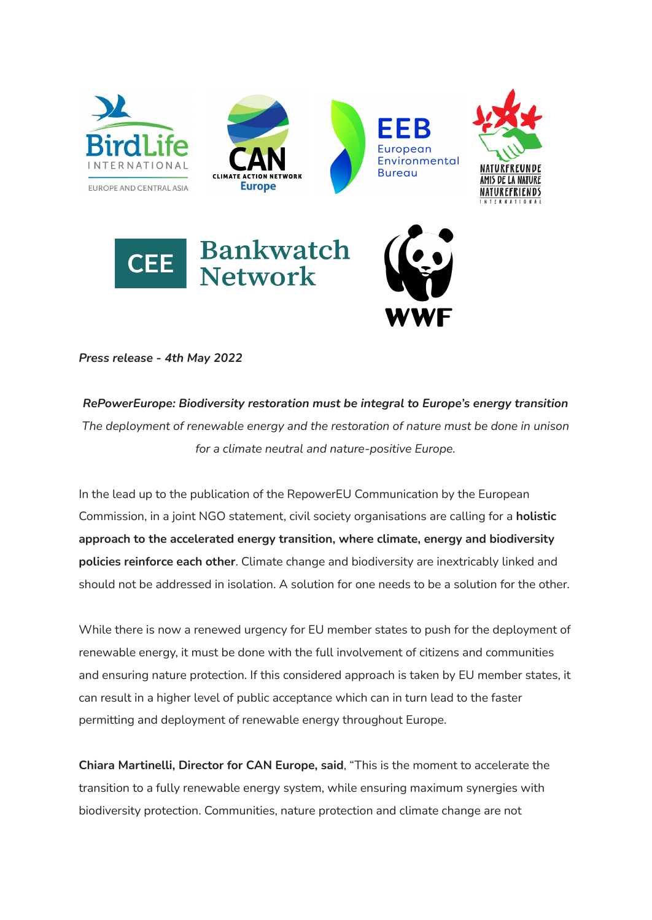

*Press release - 4th May 2022*

*RePowerEurope: Biodiversity restoration must be integral to Europe's energy transition The deployment of renewable energy and the restoration of nature must be done in unison for a climate neutral and nature-positive Europe.*

In the lead up to the publication of the RepowerEU Communication by the European Commission, in a joint NGO statement, civil society organisations are calling for a **holistic approach to the accelerated energy transition, where climate, energy and biodiversity policies reinforce each other**. Climate change and biodiversity are inextricably linked and should not be addressed in isolation. A solution for one needs to be a solution for the other.

While there is now a renewed urgency for EU member states to push for the deployment of renewable energy, it must be done with the full involvement of citizens and communities and ensuring nature protection. If this considered approach is taken by EU member states, it can result in a higher level of public acceptance which can in turn lead to the faster permitting and deployment of renewable energy throughout Europe.

**Chiara Martinelli, Director for CAN Europe, said**, "This is the moment to accelerate the transition to a fully renewable energy system, while ensuring maximum synergies with biodiversity protection. Communities, nature protection and climate change are not